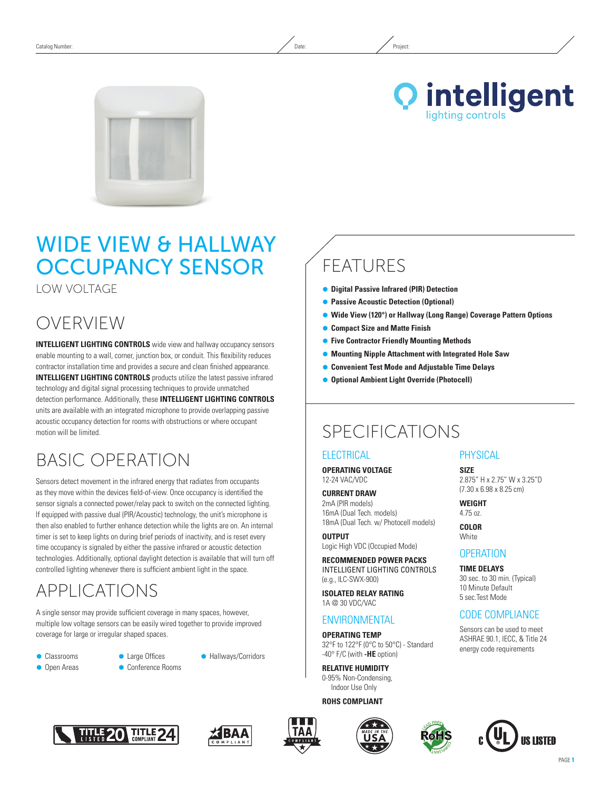



# Wide View & HALLWAY Occupancy Sensor

Low Voltage

# OVERVIEW

**INTELLIGENT LIGHTING CONTROLS** wide view and hallway occupancy sensors enable mounting to a wall, corner, junction box, or conduit. This flexibility reduces contractor installation time and provides a secure and clean finished appearance. **INTELLIGENT LIGHTING CONTROLS** products utilize the latest passive infrared technology and digital signal processing techniques to provide unmatched detection performance. Additionally, these **INTELLIGENT LIGHTING CONTROLS** units are available with an integrated microphone to provide overlapping passive acoustic occupancy detection for rooms with obstructions or where occupant motion will be limited.

# Basic Operation

Sensors detect movement in the infrared energy that radiates from occupants as they move within the devices field-of-view. Once occupancy is identified the sensor signals a connected power/relay pack to switch on the connected lighting. If equipped with passive dual (PIR/Acoustic) technology, the unit's microphone is then also enabled to further enhance detection while the lights are on. An internal timer is set to keep lights on during brief periods of inactivity, and is reset every time occupancy is signaled by either the passive infrared or acoustic detection technologies. Additionally, optional daylight detection is available that will turn off controlled lighting whenever there is sufficient ambient light in the space.

# APPLICATIONS

A single sensor may provide sufficient coverage in many spaces, however, multiple low voltage sensors can be easily wired together to provide improved coverage for large or irregular shaped spaces.

**Classrooms • Open Areas**  **• Large Offices** 

● Conference Rooms

**• Hallways/Corridors** 

## Ã **Digital Passive Infrared (PIR) Detection • Passive Acoustic Detection (Optional)**

FEATURES

- Ã **Wide View (120°) or Hallway (Long Range) Coverage Pattern Options**
- Ã **Compact Size and Matte Finish**
- Ã **Five Contractor Friendly Mounting Methods**
- Ã **Mounting Nipple Attachment with Integrated Hole Saw**
- **Convenient Test Mode and Adjustable Time Delays**
- **Optional Ambient Light Override (Photocell)**

## SPECIFICATIONS

### **ELECTRICAL**

**Operating Voltage** 12-24 VAC/VDC

**Current Draw** 2mA (PIR models) 16mA (Dual Tech. models) 18mA (Dual Tech. w/ Photocell models)

**Output** Logic High VDC (Occupied Mode)

**Recommended Power Packs** INTELLIGENT LIGHTING CONTROLS (e.g., ILC-SWX-900)

**ISOLATED RELAY RATING** 1A @ 30 VDC/VAC

### **ENVIRONMENTAL**

**Operating Temp** 32°F to 122°F (0°C to 50°C) - Standard -40° F/C (with **-HE** option)

**Relative Humidity** 0-95% Non-Condensing, Indoor Use Only

### **ROHS Compliant**









**Size** 2.875" H x 2.75" W x 3.25"D (7.30 x 6.98 x 8.25 cm)

**Weight**  4.75 oz.

**Color White** 

### **OPFRATION**

**TIME DELAYS** 30 sec. to 30 min. (Typical) 10 Minute Default 5 sec.Test Mode

### CODE COMPLIANCE

Sensors can be used to meet ASHRAE 90.1, IECC, & Title 24 energy code requirements

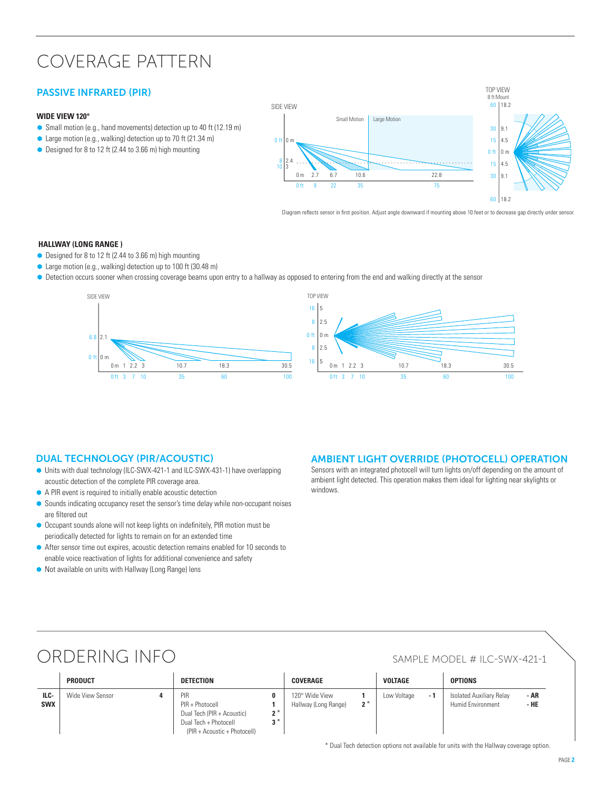# Coverage Pattern

### PASSIVE INFRARED (PIR)

### **Wide View 120°**

- Small motion (e.g., hand movements) detection up to 40 ft (12.19 m)
- Large motion (e.g., walking) detection up to 70 ft (21.34 m)
- Designed for 8 to 12 ft (2.44 to 3.66 m) high mounting



Diagram reflects sensor in first position. Adjust angle downward if mounting above 10 feet or to decrease gap directly under sensor.

#### **Hallway (LonG RANGE )**

- Designed for 8 to 12 ft (2.44 to 3.66 m) high mounting
- Large motion (e.g., walking) detection up to 100 ft (30.48 m)
- $\bullet$  Detection occurs sooner when crossing coverage beams upon entry to a hallway as opposed to entering from the end and walking directly at the sensor



### Dual Technology (PIR/Acoustic)

- Ã Units with dual technology (ILC-SWX-421-1 and ILC-SWX-431-1) have overlapping acoustic detection of the complete PIR coverage area.
- A PIR event is required to initially enable acoustic detection
- Sounds indicating occupancy reset the sensor's time delay while non-occupant noises are filtered out
- $\bullet$  Occupant sounds alone will not keep lights on indefinitely, PIR motion must be periodically detected for lights to remain on for an extended time
- After sensor time out expires, acoustic detection remains enabled for 10 seconds to enable voice reactivation of lights for additional convenience and safety
- $\bullet$  Not available on units with Hallway (Long Range) lens

### AMBIENT LIGHT OVERRIDE (PHOTOCELL) OPERATION

Sensors with an integrated photocell will turn lights on/off depending on the amount of ambient light detected. This operation makes them ideal for lighting near skylights or windows.

# ORDERING INFO SAMPLE MODEL # ILC-SWX-421-1

|                    | <b>PRODUCT</b>   | <b>DETECTION</b>                                                                                                              | <b>COVERAGE</b>                                 | <b>VOLTAGE</b>     | <b>OPTIONS</b>                                                |
|--------------------|------------------|-------------------------------------------------------------------------------------------------------------------------------|-------------------------------------------------|--------------------|---------------------------------------------------------------|
| ILC-<br><b>SWX</b> | Wide View Sensor | PIR<br>PIR + Photocell<br>Dual Tech (PIR + Acoustic)<br>י הי<br>י כי<br>Dual Tech + Photocell<br>(PIR + Acoustic + Photocell) | 120° Wide View<br>$2^*$<br>Hallway (Long Range) | Low Voltage<br>- 1 | - AR<br>Isolated Auxiliary Relay<br>Humid Environment<br>- HE |

\* Dual Tech detection options not available for units with the Hallway coverage option.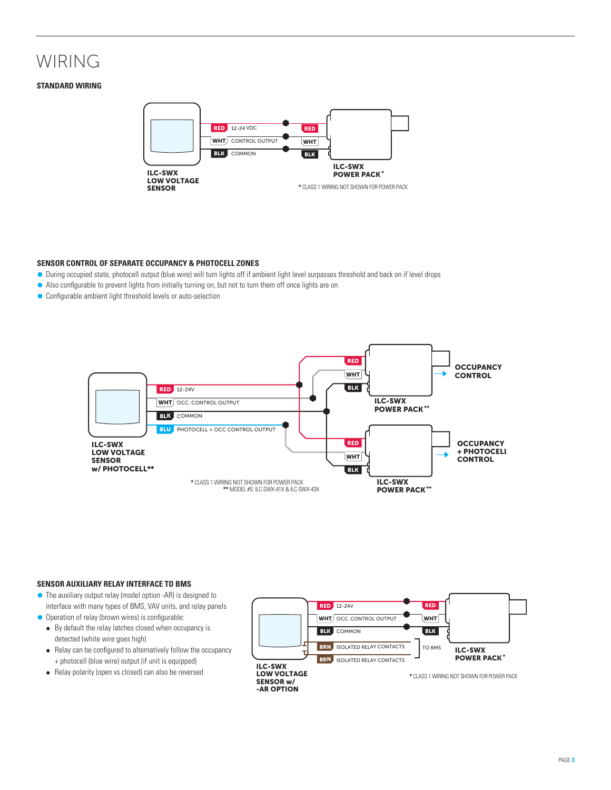# WIRING

#### **Standard WIRING**



#### **Sensor Control of Separate Occupancy & Photocell Zones**

- Ã During occupied state, photocell output (blue wire) will turn lights off if ambient light level surpasses threshold and back on if level drops
- Also configurable to prevent lights from initially turning on, but not to turn them off once lights are on
- Ã Configurable ambient light threshold levels or auto-selection



#### **Sensor AuXIliARY RELAY Interface to BMS**

- $\bullet$  The auxiliary output relay (model option -AR) is designed to interface with many types of BMS, VAV units, and relay panels
- **•** Operation of relay (brown wires) is configurable:
	- $\bullet$  By default the relay latches closed when occupancy is detected (white wire goes high)
	- Relay can be configured to alternatively follow the occupancy + photocell (blue wire) output (if unit is equipped)
	- Relay polarity (open vs closed) can also be reversed